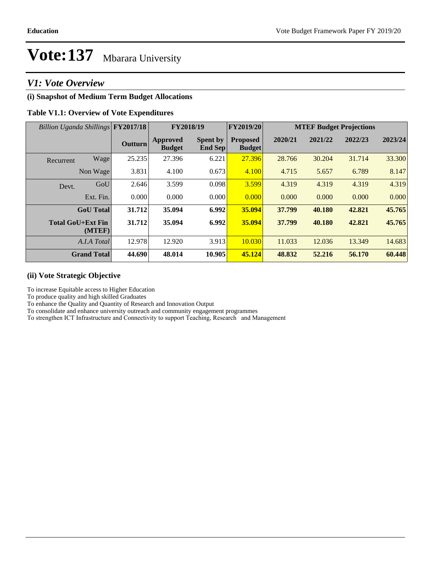### *V1: Vote Overview*

#### **(i) Snapshot of Medium Term Budget Allocations**

#### **Table V1.1: Overview of Vote Expenditures**

| Billion Uganda Shillings FY2017/18 |                | FY2018/19                        |                                   | FY2019/20                        | <b>MTEF Budget Projections</b> |         |         |         |
|------------------------------------|----------------|----------------------------------|-----------------------------------|----------------------------------|--------------------------------|---------|---------|---------|
|                                    | <b>Outturn</b> | <b>Approved</b><br><b>Budget</b> | <b>Spent by</b><br><b>End Sep</b> | <b>Proposed</b><br><b>Budget</b> | 2020/21                        | 2021/22 | 2022/23 | 2023/24 |
| Wage<br>Recurrent                  | 25.235         | 27.396                           | 6.221                             | 27.396                           | 28.766                         | 30.204  | 31.714  | 33.300  |
| Non Wage                           | 3.831          | 4.100                            | 0.673                             | 4.100                            | 4.715                          | 5.657   | 6.789   | 8.147   |
| GoU<br>Devt.                       | 2.646          | 3.599                            | 0.098                             | 3.599                            | 4.319                          | 4.319   | 4.319   | 4.319   |
| Ext. Fin.                          | 0.000          | 0.000                            | 0.000                             | 0.000                            | 0.000                          | 0.000   | 0.000   | 0.000   |
| <b>GoU</b> Total                   | 31.712         | 35.094                           | 6.992                             | 35.094                           | 37.799                         | 40.180  | 42.821  | 45.765  |
| <b>Total GoU+Ext Fin</b><br>(MTEF) | 31.712         | 35.094                           | 6.992                             | 35.094                           | 37.799                         | 40.180  | 42.821  | 45.765  |
| A.I.A Total                        | 12.978         | 12.920                           | 3.913                             | 10.030                           | 11.033                         | 12.036  | 13.349  | 14.683  |
| <b>Grand Total</b>                 | 44.690         | 48.014                           | 10.905                            | 45.124                           | 48.832                         | 52.216  | 56.170  | 60.448  |

#### **(ii) Vote Strategic Objective**

To increase Equitable access to Higher Education

To produce quality and high skilled Graduates

To enhance the Quality and Quantity of Research and Innovation Output

To consolidate and enhance university outreach and community engagement programmes

To strengthen ICT Infrastructure and Connectivity to support Teaching, Research and Management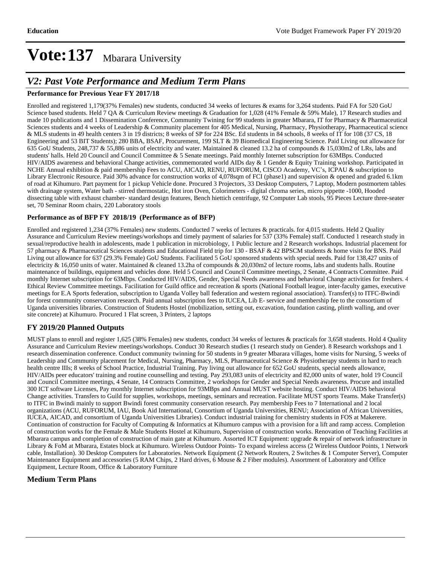### *V2: Past Vote Performance and Medium Term Plans*

#### **Performance for Previous Year FY 2017/18**

Enrolled and registered 1,179(37% Females) new students, conducted 34 weeks of lectures & exams for 3,264 students. Paid FA for 520 GoU Science based students. Held 7 QA & Curriculum Review meetings & Graduation for 1,028 (41% Female & 59% Male), 17 Research studies and made 10 publications and 1 Dissemination Conference, Community Twining for 99 students in greater Mbarara, IT for Pharmacy & Pharmaceutical Sciences students and 4 weeks of Leadership & Community placement for 405 Medical, Nursing, Pharmacy, Physiotherapy, Pharmaceutical science & MLS students in 49 health centers 3 in 19 districts; 8 weeks of SP for 224 BSc. Ed students in 84 schools, 8 weeks of IT for 108 (37 CS, 18 Engineering and 53 BIT Students); 280 BBA, BSAF, Procurement, 199 SLT & 39 Biomedical Engineering Science. Paid Living out allowance for 635 GoU Students, 248,737 & 55,886 units of electricity and water. Maintained & cleaned 13.2 ha of compounds & 15,030m2 of LRs, labs and students' halls. Held 20 Council and Council Committee & 5 Senate meetings. Paid monthly Internet subscription for 63MBps. Conducted HIV/AIDS awareness and behavioral Change activities, commemorated world AIDs day & 1 Gender & Equity Training workshop. Participated in NCHE Annual exhibition & paid membership Fees to ACU, AICAD, RENU, RUFORUM, CISCO Academy, VC's, ICPAU & subscription to Library Electronic Resource. Paid 30% advance for construction works of 4,078sqm of FCI (phase1) and supervision & opened and graded 6.1km of road at Kihumuro. Part payment for 1 pickup Vehicle done. Procured 3 Projectors, 33 Desktop Computers, 7 Laptop, Modern postmortem tables with drainage system, Water bath - stirred thermostatic, Hot iron Oven, Colorimeters - digital chroma series, micro pippette -1000, Hooded dissecting table with exhaust chamber- standard design features, Bench hiettich centrifuge, 92 Computer Lab stools, 95 Pieces Lecture three-seater set, 70 Seminar Room chairs, 220 Laboratory stools

#### **Performance as of BFP FY 2018/19 (Performance as of BFP)**

Enrolled and registered 1,234 (37% Females) new students. Conducted 7 weeks of lectures & practicals. for 4,015 students. Held 2 Quality Assurance and Curriculum Review meetings/workshops and timely payment of salaries for 537 (33% Female) staff. Conducted 1 research study in sexual/reproductive health in adolescents, made 1 publication in microbiology, 1 Public lecture and 2 Research workshops. Industrial placement for 57 pharmacy & Pharmaceutical Sciences students and Educational Field trip for 130 - BSAF & 42 BPSCM students & home visits for BNS. Paid Living out allowance for 637 (29.3% Female) GoU Students. Facilitated 5 GoU sponsored students with special needs. Paid for 138,427 units of electricity & 16,050 units of water. Maintained & cleaned 13.2ha of compounds & 20,030m2 of lecture rooms, labs and students halls. Routine maintenance of buildings, equipment and vehicles done. Held 5 Council and Council Committee meetings, 2 Senate, 4 Contracts Committee. Paid monthly Internet subscription for 63Mbps. Conducted HIV/AIDS, Gender, Special Needs awareness and behavioral Change activities for freshers. 4 Ethical Review Committee meetings. Facilitation for Guild office and recreation & sports (National Football league, inter-faculty games, executive meetings for E.A Sports federation, subscription to Uganda Volley ball federation and western regional association). Transfer(s) to ITFC-Bwindi for forest community conservation research. Paid annual subscription fees to IUCEA, Lib E- service and membership fee to the consortium of Uganda universities libraries. Construction of Students Hostel (mobilization, setting out, excavation, foundation casting, plinth walling, and over site concrete) at Kihumuro. Procured 1 Flat screen, 3 Printers, 2 laptops

#### **FY 2019/20 Planned Outputs**

MUST plans to enroll and register 1,625 (38% Females) new students, conduct 34 weeks of lectures & practicals for 3,658 students. Hold 4 Quality Assurance and Curriculum Review meetings/workshops. Conduct 30 Research studies (1 research study on Gender). 8 Research workshops and 1 research dissemination conference. Conduct community twinning for 50 students in 9 greater Mbarara villages, home visits for Nursing, 5 weeks of Leadership and Community placement for Medical, Nursing, Pharmacy, MLS, Pharmaceutical Science & Physiotherapy students in hard to reach health centre IIIs; 8 weeks of School Practice, Industrial Training. Pay living out allowance for 652 GoU students, special needs allowance, HIV/AIDs peer educators' training and routine counselling and testing. Pay 293,083 units of electricity and 82,000 units of water, hold 19 Council and Council Committee meetings, 4 Senate, 14 Contracts Committee, 2 workshops for Gender and Special Needs awareness. Procure and installed 300 ICT software Licenses, Pay monthly Internet subscription for 93MBps and Annual MUST website hosting. Conduct HIV/AIDS behavioral Change activities. Transfers to Guild for supplies, workshops, meetings, seminars and recreation. Facilitate MUST sports Teams. Make Transfer(s) to ITFC in Bwindi mainly to support Bwindi forest community conservation research. Pay membership Fees to 7 International and 2 local organizations (ACU, RUFORUM, IAU, Book Aid International, Consortium of Uganda Universities, RENU; Association of African Universities, IUCEA, AICAD, and consortium of Uganda Universities Libraries). Conduct industrial training for chemistry students in FOS at Makerere. Continuation of construction for Faculty of Computing & Informatics at Kihumuro campus with a provision for a lift and ramp access. Completion of construction works for the Female & Male Students Hostel at Kihumuro, Supervision of construction works. Renovation of Teaching Facilities at Mbarara campus and completion of construction of main gate at Kihumuro. Assorted ICT Equipment: upgrade & repair of network infrastructure in Library & FoM at Mbarara, Estates block at Kihumuro. Wireless Outdoor Points- To expand wireless access (2 Wireless Outdoor Points, 1 Network cable, Installation). 30 Desktop Computers for Laboratories. Network Equipment (2 Network Routers, 2 Switches & 1 Computer Server), Computer Maintenance Equipment and accessories (5 RAM Chips, 2 Hard drives, 6 Mouse & 2 Fiber modules). Assortment of Laboratory and Office Equipment, Lecture Room, Office & Laboratory Furniture

#### **Medium Term Plans**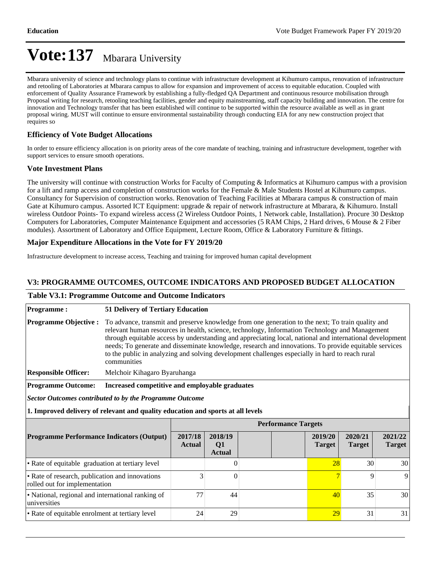Mbarara university of science and technology plans to continue with infrastructure development at Kihumuro campus, renovation of infrastructure and retooling of Laboratories at Mbarara campus to allow for expansion and improvement of access to equitable education. Coupled with enforcement of Quality Assurance Framework by establishing a fully-fledged QA Department and continuous resource mobilisation through Proposal writing for research, retooling teaching facilities, gender and equity mainstreaming, staff capacity building and innovation. The centre for innovation and Technology transfer that has been established will continue to be supported within the resource available as well as in grant proposal wiring. MUST will continue to ensure environmental sustainability through conducting EIA for any new construction project that requires so

#### **Efficiency of Vote Budget Allocations**

In order to ensure efficiency allocation is on priority areas of the core mandate of teaching, training and infrastructure development, together with support services to ensure smooth operations.

#### **Vote Investment Plans**

The university will continue with construction Works for Faculty of Computing & Informatics at Kihumuro campus with a provision for a lift and ramp access and completion of construction works for the Female & Male Students Hostel at Kihumuro campus. Consultancy for Supervision of construction works. Renovation of Teaching Facilities at Mbarara campus & construction of main Gate at Kihumuro campus. Assorted ICT Equipment: upgrade & repair of network infrastructure at Mbarara, & Kihumuro. Install wireless Outdoor Points- To expand wireless access (2 Wireless Outdoor Points, 1 Network cable, Installation). Procure 30 Desktop Computers for Laboratories, Computer Maintenance Equipment and accessories (5 RAM Chips, 2 Hard drives, 6 Mouse & 2 Fiber modules). Assortment of Laboratory and Office Equipment, Lecture Room, Office & Laboratory Furniture & fittings.

#### **Major Expenditure Allocations in the Vote for FY 2019/20**

Infrastructure development to increase access, Teaching and training for improved human capital development

#### **V3: PROGRAMME OUTCOMES, OUTCOME INDICATORS AND PROPOSED BUDGET ALLOCATION**

#### **Table V3.1: Programme Outcome and Outcome Indicators**

| <b>Programme:</b>                                                                | <b>51 Delivery of Tertiary Education</b>                                                                                                                                                                                                                                                                                                                                                                                                                                                                                                   |                                                |                                            |  |  |                          |                          |                          |  |
|----------------------------------------------------------------------------------|--------------------------------------------------------------------------------------------------------------------------------------------------------------------------------------------------------------------------------------------------------------------------------------------------------------------------------------------------------------------------------------------------------------------------------------------------------------------------------------------------------------------------------------------|------------------------------------------------|--------------------------------------------|--|--|--------------------------|--------------------------|--------------------------|--|
| <b>Programme Objective:</b>                                                      | To advance, transmit and preserve knowledge from one generation to the next; To train quality and<br>relevant human resources in health, science, technology, Information Technology and Management<br>through equitable access by understanding and appreciating local, national and international development<br>needs; To generate and disseminate knowledge, research and innovations. To provide equitable services<br>to the public in analyzing and solving development challenges especially in hard to reach rural<br>communities |                                                |                                            |  |  |                          |                          |                          |  |
| <b>Responsible Officer:</b>                                                      |                                                                                                                                                                                                                                                                                                                                                                                                                                                                                                                                            | Melchoir Kihagaro Byaruhanga                   |                                            |  |  |                          |                          |                          |  |
| <b>Programme Outcome:</b>                                                        |                                                                                                                                                                                                                                                                                                                                                                                                                                                                                                                                            | Increased competitive and employable graduates |                                            |  |  |                          |                          |                          |  |
| Sector Outcomes contributed to by the Programme Outcome                          |                                                                                                                                                                                                                                                                                                                                                                                                                                                                                                                                            |                                                |                                            |  |  |                          |                          |                          |  |
| 1. Improved delivery of relevant and quality education and sports at all levels  |                                                                                                                                                                                                                                                                                                                                                                                                                                                                                                                                            |                                                |                                            |  |  |                          |                          |                          |  |
|                                                                                  | <b>Performance Targets</b>                                                                                                                                                                                                                                                                                                                                                                                                                                                                                                                 |                                                |                                            |  |  |                          |                          |                          |  |
| <b>Programme Performance Indicators (Output)</b>                                 |                                                                                                                                                                                                                                                                                                                                                                                                                                                                                                                                            | 2017/18<br><b>Actual</b>                       | 2018/19<br>Q <sub>1</sub><br><b>Actual</b> |  |  | 2019/20<br><b>Target</b> | 2020/21<br><b>Target</b> | 2021/22<br><b>Target</b> |  |
| • Rate of equitable graduation at tertiary level                                 |                                                                                                                                                                                                                                                                                                                                                                                                                                                                                                                                            |                                                | 0                                          |  |  | 28                       | 30                       | 30                       |  |
| • Rate of research, publication and innovations<br>rolled out for implementation |                                                                                                                                                                                                                                                                                                                                                                                                                                                                                                                                            | 3                                              | $\theta$                                   |  |  |                          | 9                        | 9                        |  |
| • National, regional and international ranking of<br>universities                |                                                                                                                                                                                                                                                                                                                                                                                                                                                                                                                                            | 77                                             | 44                                         |  |  | 40 <sup>°</sup>          | 35                       | 30                       |  |
| • Rate of equitable enrolment at tertiary level                                  |                                                                                                                                                                                                                                                                                                                                                                                                                                                                                                                                            | 24                                             | 29                                         |  |  | 29                       | 31                       | 31                       |  |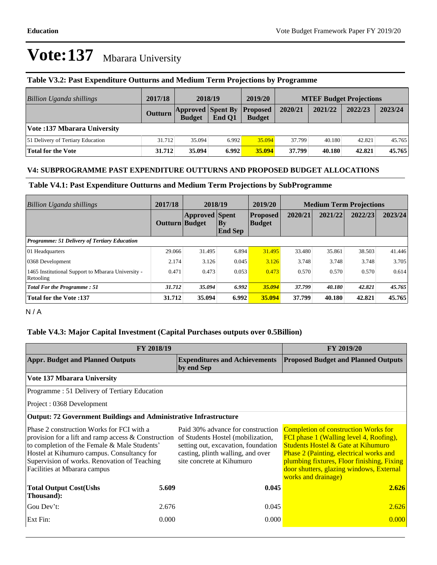| Billion Uganda shillings            | 2017/18 | 2018/19       |                                             | 2019/20       | <b>MTEF Budget Projections</b> |         |         |         |
|-------------------------------------|---------|---------------|---------------------------------------------|---------------|--------------------------------|---------|---------|---------|
|                                     | Outturn | <b>Budget</b> | <b>Approved Spent By Proposed</b><br>End O1 | <b>Budget</b> | 2020/21                        | 2021/22 | 2022/23 | 2023/24 |
| <b>Vote:137 Mbarara University</b>  |         |               |                                             |               |                                |         |         |         |
| [51 Delivery of Tertiary Education] | 31.712  | 35.094        | 6.992                                       | 35.094        | 37.799                         | 40.180  | 42.821  | 45.765  |
| Total for the Vote                  | 31.712  | 35.094        | 6.992                                       | 35.094        | 37.799                         | 40.180  | 42.821  | 45.765  |

#### **Table V3.2: Past Expenditure Outturns and Medium Term Projections by Programme**

#### **V4: SUBPROGRAMME PAST EXPENDITURE OUTTURNS AND PROPOSED BUDGET ALLOCATIONS**

#### **Table V4.1: Past Expenditure Outturns and Medium Term Projections by SubProgramme**

| <b>Billion Uganda shillings</b>                                 | 2017/18               | 2018/19               |                                          | 2019/20                          | <b>Medium Term Projections</b> |         |         |         |
|-----------------------------------------------------------------|-----------------------|-----------------------|------------------------------------------|----------------------------------|--------------------------------|---------|---------|---------|
|                                                                 | <b>Outturn Budget</b> | <b>Approved</b> Spent | $\mathbf{B}\mathbf{y}$<br><b>End Sep</b> | <b>Proposed</b><br><b>Budget</b> | 2020/21                        | 2021/22 | 2022/23 | 2023/24 |
| Programme: 51 Delivery of Tertiary Education                    |                       |                       |                                          |                                  |                                |         |         |         |
| 01 Headquarters                                                 | 29.066                | 31.495                | 6.894                                    | 31.495                           | 33.480                         | 35.861  | 38.503  | 41.446  |
| 0368 Development                                                | 2.174                 | 3.126                 | 0.045                                    | 3.126                            | 3.748                          | 3.748   | 3.748   | 3.705   |
| 1465 Institutional Support to Mbarara University -<br>Retooling | 0.471                 | 0.473                 | 0.053                                    | 0.473                            | 0.570                          | 0.570   | 0.570   | 0.614   |
| <b>Total For the Programme: 51</b>                              | 31.712                | 35.094                | 6.992                                    | 35.094                           | 37.799                         | 40.180  | 42.821  | 45.765  |
| <b>Total for the Vote:137</b>                                   | 31.712                | 35.094                | 6.992                                    | 35.094                           | 37.799                         | 40.180  | 42.821  | 45.765  |

N / A

#### **Table V4.3: Major Capital Investment (Capital Purchases outputs over 0.5Billion)**

| FY 2018/19                                                                                                                                                                                                                                                                        | <b>FY 2019/20</b> |                                                                                                                                                                                 |                                                                                                                                                                                                                                                                                          |  |  |
|-----------------------------------------------------------------------------------------------------------------------------------------------------------------------------------------------------------------------------------------------------------------------------------|-------------------|---------------------------------------------------------------------------------------------------------------------------------------------------------------------------------|------------------------------------------------------------------------------------------------------------------------------------------------------------------------------------------------------------------------------------------------------------------------------------------|--|--|
| <b>Appr. Budget and Planned Outputs</b>                                                                                                                                                                                                                                           |                   | <b>Expenditures and Achievements</b><br>by end Sep                                                                                                                              | <b>Proposed Budget and Planned Outputs</b>                                                                                                                                                                                                                                               |  |  |
| Vote 137 Mbarara University                                                                                                                                                                                                                                                       |                   |                                                                                                                                                                                 |                                                                                                                                                                                                                                                                                          |  |  |
| Programme: 51 Delivery of Tertiary Education                                                                                                                                                                                                                                      |                   |                                                                                                                                                                                 |                                                                                                                                                                                                                                                                                          |  |  |
| Project: 0368 Development                                                                                                                                                                                                                                                         |                   |                                                                                                                                                                                 |                                                                                                                                                                                                                                                                                          |  |  |
| <b>Output: 72 Government Buildings and Administrative Infrastructure</b>                                                                                                                                                                                                          |                   |                                                                                                                                                                                 |                                                                                                                                                                                                                                                                                          |  |  |
| Phase 2 construction Works for FCI with a<br>provision for a lift and ramp access $\&$ Construction<br>to completion of the Female & Male Students'<br>Hostel at Kihumuro campus. Consultancy for<br>Supervision of works. Renovation of Teaching<br>Facilities at Mbarara campus |                   | Paid 30% advance for construction<br>of Students Hostel (mobilization,<br>setting out, excavation, foundation<br>casting, plinth walling, and over<br>site concrete at Kihumuro | <b>Completion of construction Works for</b><br>FCI phase 1 (Walling level 4, Roofing),<br>Students Hostel & Gate at Kihumuro<br>Phase 2 (Painting, electrical works and<br>plumbing fixtures, Floor finishing, Fixing<br>door shutters, glazing windows, External<br>works and drainage) |  |  |
| <b>Total Output Cost(Ushs</b><br>Thousand):                                                                                                                                                                                                                                       | 5.609             | 0.045                                                                                                                                                                           | 2.626                                                                                                                                                                                                                                                                                    |  |  |
| Gou Dev't:                                                                                                                                                                                                                                                                        | 2.676             | 0.045                                                                                                                                                                           | 2.626                                                                                                                                                                                                                                                                                    |  |  |
| Ext Fin:                                                                                                                                                                                                                                                                          | 0.000             | 0.000                                                                                                                                                                           | 0.000                                                                                                                                                                                                                                                                                    |  |  |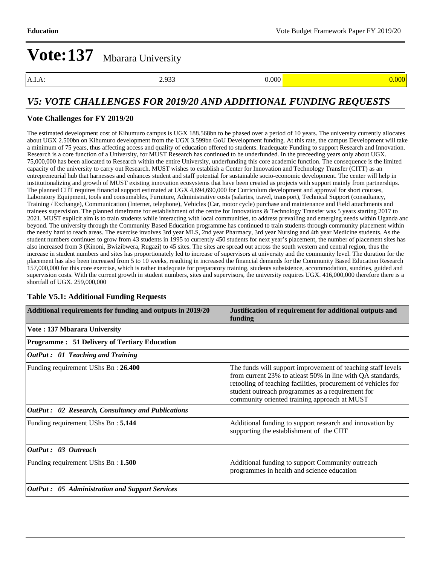A.I.A: 2.933 0.000 0.000 0.000 0.000 0.000 0.000 0.000 0.000 0.000 0.000 0.000 0.000 0.000 0.000 0.000 0.000 0

### *V5: VOTE CHALLENGES FOR 2019/20 AND ADDITIONAL FUNDING REQUESTS*

#### **Vote Challenges for FY 2019/20**

The estimated development cost of Kihumuro campus is UGX 188.568bn to be phased over a period of 10 years. The university currently allocates about UGX 2.500bn on Kihumuro development from the UGX 3.599bn GoU Development funding. At this rate, the campus Development will take a minimum of 75 years, thus affecting access and quality of education offered to students. Inadequate Funding to support Research and Innovation. Research is a core function of a University, for MUST Research has continued to be underfunded. In the preceeding years only about UGX. 75,000,000 has been allocated to Research within the entire University, underfunding this core academic function. The consequence is the limited capacity of the university to carry out Research. MUST wishes to establish a Center for Innovation and Technology Transfer (CITT) as an entrepreneurial hub that harnesses and enhances student and staff potential for sustainable socio-economic development. The center will help in institutionalizing and growth of MUST existing innovation ecosystems that have been created as projects with support mainly from partnerships. The planned CIIT requires financial support estimated at UGX 4,694,690,000 for Curriculum development and approval for short courses, Laboratory Equipment, tools and consumables, Furniture, Administrative costs (salaries, travel, transport), Technical Support (consultancy, Training / Exchange), Communication (Internet, telephone), Vehicles (Car, motor cycle) purchase and maintenance and Field attachments and trainees supervision. The planned timeframe for establishment of the centre for Innovations & Technology Transfer was 5 years starting 2017 to 2021. MUST explicit aim is to train students while interacting with local communities, to address prevailing and emerging needs within Uganda and beyond. The university through the Community Based Education programme has continued to train students through community placement within the needy hard to reach areas. The exercise involves 3rd year MLS, 2nd year Pharmacy, 3rd year Nursing and 4th year Medicine students. As the student numbers continues to grow from 43 students in 1995 to currently 450 students for next year's placement, the number of placement sites has also increased from 3 (Kinoni, Bwizibwera, Rugazi) to 45 sites. The sites are spread out across the south western and central region, thus the increase in student numbers and sites has proportionately led to increase of supervisors at university and the community level. The duration for the placement has also been increased from 5 to 10 weeks, resulting in increased the financial demands for the Community Based Education Research 157,000,000 for this core exercise, which is rather inadequate for preparatory training, students subsistence, accommodation, sundries, guided and supervision costs. With the current growth in student numbers, sites and supervisors, the university requires UGX. 416,000,000 therefore there is a shortfall of UGX. 259,000,000

### **Additional requirements for funding and outputs in 2019/20 Justification of requirement for additional outputs and funding Vote : 137 Mbarara University Programme : 51 Delivery of Tertiary Education** *OutPut : 01 Teaching and Training* Funding requirement UShs Bn : **26.400** The funds will support improvement of teaching staff levels from current 23% to atleast 50% in line with QA standards, retooling of teaching facilities, procurement of vehicles for student outreach programmes as a requirement for community oriented training approach at MUST *OutPut : 02 Research, Consultancy and Publications* Funding requirement UShs Bn : **5.144** Additional funding to support research and innovation by supporting the establishment of the CIIT *OutPut : 03 Outreach* Funding requirement UShs Bn : **1.500 Additional funding to support Community outreach** programmes in health and science education *OutPut : 05 Administration and Support Services*

#### **Table V5.1: Additional Funding Requests**